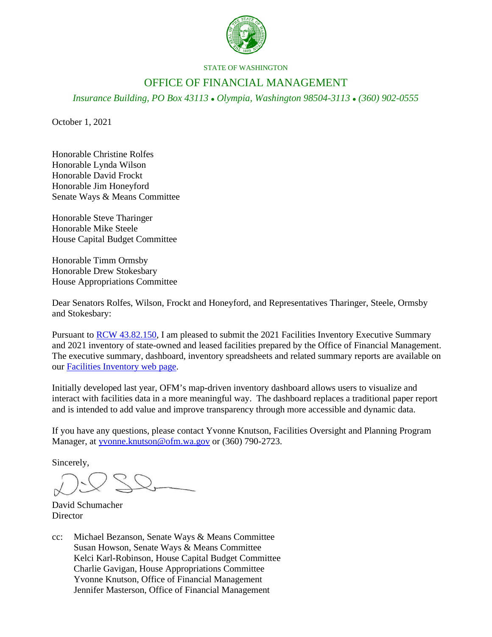

STATE OF WASHINGTON

## OFFICE OF FINANCIAL MANAGEMENT

*Insurance Building, PO Box 43113 Olympia, Washington 98504-3113 (360) 902-0555*

October 1, 2021

Honorable Christine Rolfes Honorable Lynda Wilson Honorable David Frockt Honorable Jim Honeyford Senate Ways & Means Committee

Honorable Steve Tharinger Honorable Mike Steele House Capital Budget Committee

Honorable Timm Ormsby Honorable Drew Stokesbary House Appropriations Committee

Dear Senators Rolfes, Wilson, Frockt and Honeyford, and Representatives Tharinger, Steele, Ormsby and Stokesbary:

Pursuant t[o RCW 43.82.150,](http://apps.leg.wa.gov/RCW/default.aspx?cite=43.82.150) I am pleased to submit the 2021 Facilities Inventory Executive Summary and 2021 inventory of state-owned and leased facilities prepared by the Office of Financial Management. The executive summary, dashboard, inventory spreadsheets and related summary reports are available on our [Facilities Inventory web page.](https://ofm.wa.gov/facilities/state-agency-facility-oversight/facilities-inventory)

Initially developed last year, OFM's map-driven inventory dashboard allows users to visualize and interact with facilities data in a more meaningful way. The dashboard replaces a traditional paper report and is intended to add value and improve transparency through more accessible and dynamic data.

If you have any questions, please contact Yvonne Knutson, Facilities Oversight and Planning Program Manager, at [yvonne.knutson@ofm.wa.gov](mailto:yvonne.knutson@ofm.wa.gov) or (360) 790-2723.

Sincerely,

David Schumacher **Director** 

cc: Michael Bezanson, Senate Ways & Means Committee Susan Howson, Senate Ways & Means Committee Kelci Karl-Robinson, House Capital Budget Committee Charlie Gavigan, House Appropriations Committee Yvonne Knutson, Office of Financial Management Jennifer Masterson, Office of Financial Management